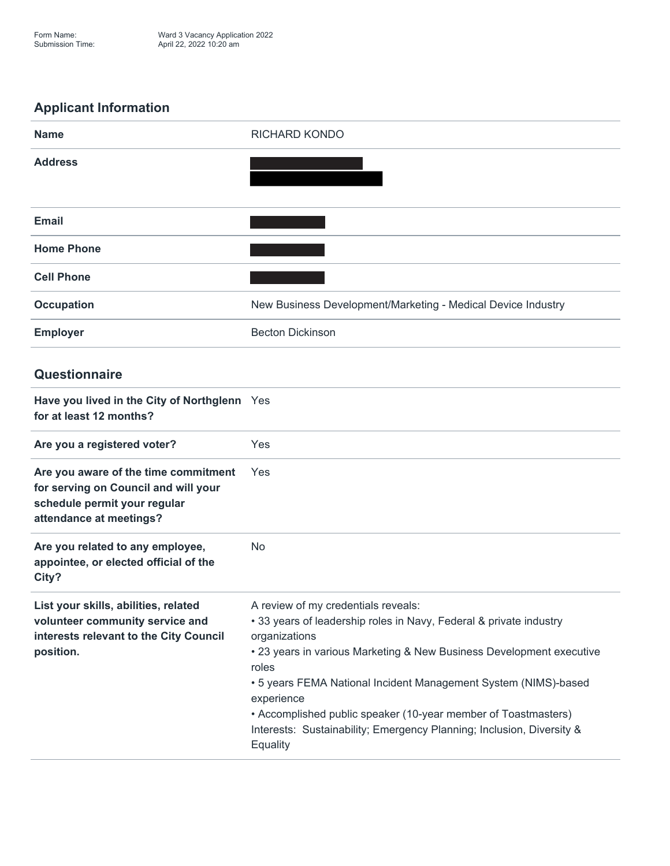## **Applicant Information**



## **Questionnaire**

| Have you lived in the City of Northglenn Yes<br>for at least 12 months?                                                                 |                                                                                                                                                                                                                                                                                                                                                                                                                                                     |
|-----------------------------------------------------------------------------------------------------------------------------------------|-----------------------------------------------------------------------------------------------------------------------------------------------------------------------------------------------------------------------------------------------------------------------------------------------------------------------------------------------------------------------------------------------------------------------------------------------------|
| Are you a registered voter?                                                                                                             | Yes                                                                                                                                                                                                                                                                                                                                                                                                                                                 |
| Are you aware of the time commitment<br>for serving on Council and will your<br>schedule permit your regular<br>attendance at meetings? | Yes                                                                                                                                                                                                                                                                                                                                                                                                                                                 |
| Are you related to any employee,<br>appointee, or elected official of the<br>City?                                                      | <b>No</b>                                                                                                                                                                                                                                                                                                                                                                                                                                           |
| List your skills, abilities, related<br>volunteer community service and<br>interests relevant to the City Council<br>position.          | A review of my credentials reveals:<br>• 33 years of leadership roles in Navy, Federal & private industry<br>organizations<br>• 23 years in various Marketing & New Business Development executive<br>roles<br>• 5 years FEMA National Incident Management System (NIMS)-based<br>experience<br>• Accomplished public speaker (10-year member of Toastmasters)<br>Interests: Sustainability; Emergency Planning; Inclusion, Diversity &<br>Equality |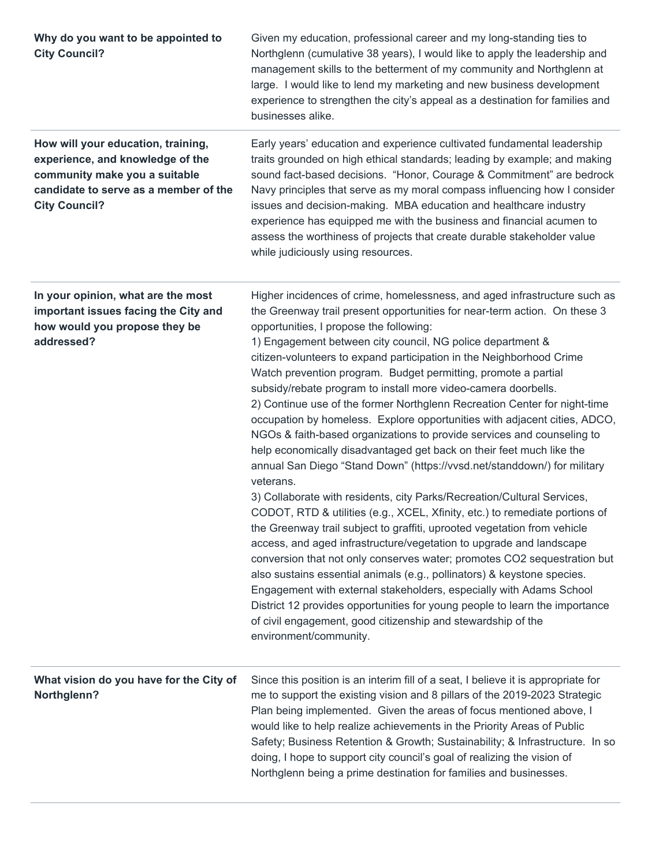| Why do you want to be appointed to<br><b>City Council?</b>                                                                                                               | Given my education, professional career and my long-standing ties to<br>Northglenn (cumulative 38 years), I would like to apply the leadership and<br>management skills to the betterment of my community and Northglenn at<br>large. I would like to lend my marketing and new business development<br>experience to strengthen the city's appeal as a destination for families and<br>businesses alike.                                                                                                                                                                                                                                                                                                                                                                                                                                                                                                                                                                                                                                                                                                                                                                                                                                                                                                                                                                                                                                                                                                                                                                                            |
|--------------------------------------------------------------------------------------------------------------------------------------------------------------------------|------------------------------------------------------------------------------------------------------------------------------------------------------------------------------------------------------------------------------------------------------------------------------------------------------------------------------------------------------------------------------------------------------------------------------------------------------------------------------------------------------------------------------------------------------------------------------------------------------------------------------------------------------------------------------------------------------------------------------------------------------------------------------------------------------------------------------------------------------------------------------------------------------------------------------------------------------------------------------------------------------------------------------------------------------------------------------------------------------------------------------------------------------------------------------------------------------------------------------------------------------------------------------------------------------------------------------------------------------------------------------------------------------------------------------------------------------------------------------------------------------------------------------------------------------------------------------------------------------|
| How will your education, training,<br>experience, and knowledge of the<br>community make you a suitable<br>candidate to serve as a member of the<br><b>City Council?</b> | Early years' education and experience cultivated fundamental leadership<br>traits grounded on high ethical standards; leading by example; and making<br>sound fact-based decisions. "Honor, Courage & Commitment" are bedrock<br>Navy principles that serve as my moral compass influencing how I consider<br>issues and decision-making. MBA education and healthcare industry<br>experience has equipped me with the business and financial acumen to<br>assess the worthiness of projects that create durable stakeholder value<br>while judiciously using resources.                                                                                                                                                                                                                                                                                                                                                                                                                                                                                                                                                                                                                                                                                                                                                                                                                                                                                                                                                                                                                             |
| In your opinion, what are the most<br>important issues facing the City and<br>how would you propose they be<br>addressed?                                                | Higher incidences of crime, homelessness, and aged infrastructure such as<br>the Greenway trail present opportunities for near-term action. On these 3<br>opportunities, I propose the following:<br>1) Engagement between city council, NG police department &<br>citizen-volunteers to expand participation in the Neighborhood Crime<br>Watch prevention program. Budget permitting, promote a partial<br>subsidy/rebate program to install more video-camera doorbells.<br>2) Continue use of the former Northglenn Recreation Center for night-time<br>occupation by homeless. Explore opportunities with adjacent cities, ADCO,<br>NGOs & faith-based organizations to provide services and counseling to<br>help economically disadvantaged get back on their feet much like the<br>annual San Diego "Stand Down" (https://vvsd.net/standdown/) for military<br>veterans.<br>3) Collaborate with residents, city Parks/Recreation/Cultural Services,<br>CODOT, RTD & utilities (e.g., XCEL, Xfinity, etc.) to remediate portions of<br>the Greenway trail subject to graffiti, uprooted vegetation from vehicle<br>access, and aged infrastructure/vegetation to upgrade and landscape<br>conversion that not only conserves water; promotes CO2 sequestration but<br>also sustains essential animals (e.g., pollinators) & keystone species.<br>Engagement with external stakeholders, especially with Adams School<br>District 12 provides opportunities for young people to learn the importance<br>of civil engagement, good citizenship and stewardship of the<br>environment/community. |
| What vision do you have for the City of<br>Northglenn?                                                                                                                   | Since this position is an interim fill of a seat, I believe it is appropriate for<br>me to support the existing vision and 8 pillars of the 2019-2023 Strategic<br>Plan being implemented. Given the areas of focus mentioned above, I<br>would like to help realize achievements in the Priority Areas of Public<br>Safety; Business Retention & Growth; Sustainability; & Infrastructure. In so<br>doing, I hope to support city council's goal of realizing the vision of<br>Northglenn being a prime destination for families and businesses.                                                                                                                                                                                                                                                                                                                                                                                                                                                                                                                                                                                                                                                                                                                                                                                                                                                                                                                                                                                                                                                    |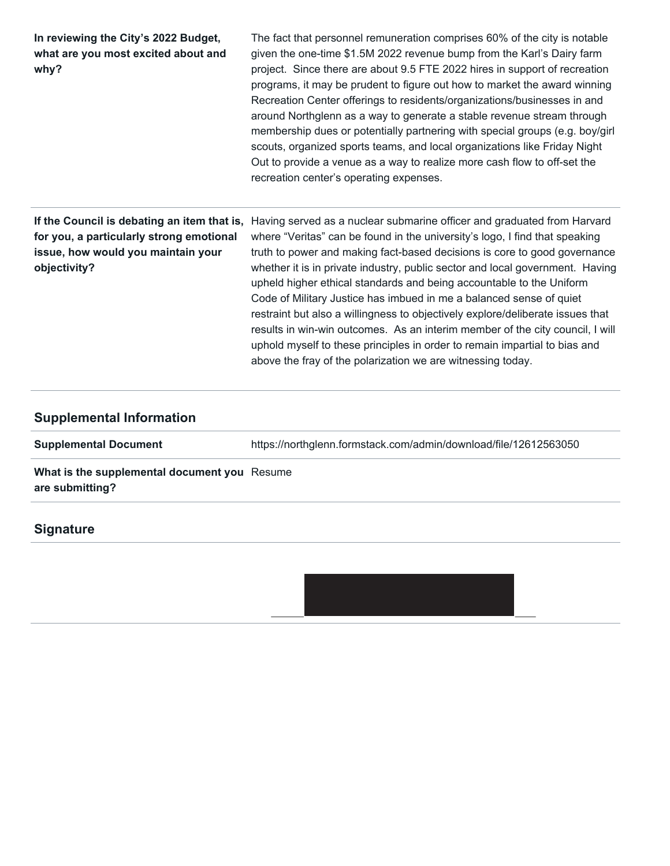| In reviewing the City's 2022 Budget,<br>what are you most excited about and<br>why?            | The fact that personnel remuneration comprises 60% of the city is notable<br>given the one-time \$1.5M 2022 revenue bump from the Karl's Dairy farm<br>project. Since there are about 9.5 FTE 2022 hires in support of recreation<br>programs, it may be prudent to figure out how to market the award winning<br>Recreation Center offerings to residents/organizations/businesses in and<br>around Northglenn as a way to generate a stable revenue stream through<br>membership dues or potentially partnering with special groups (e.g. boy/girl<br>scouts, organized sports teams, and local organizations like Friday Night<br>Out to provide a venue as a way to realize more cash flow to off-set the<br>recreation center's operating expenses.                                                                        |
|------------------------------------------------------------------------------------------------|---------------------------------------------------------------------------------------------------------------------------------------------------------------------------------------------------------------------------------------------------------------------------------------------------------------------------------------------------------------------------------------------------------------------------------------------------------------------------------------------------------------------------------------------------------------------------------------------------------------------------------------------------------------------------------------------------------------------------------------------------------------------------------------------------------------------------------|
| for you, a particularly strong emotional<br>issue, how would you maintain your<br>objectivity? | If the Council is debating an item that is, Having served as a nuclear submarine officer and graduated from Harvard<br>where "Veritas" can be found in the university's logo, I find that speaking<br>truth to power and making fact-based decisions is core to good governance<br>whether it is in private industry, public sector and local government. Having<br>upheld higher ethical standards and being accountable to the Uniform<br>Code of Military Justice has imbued in me a balanced sense of quiet<br>restraint but also a willingness to objectively explore/deliberate issues that<br>results in win-win outcomes. As an interim member of the city council, I will<br>uphold myself to these principles in order to remain impartial to bias and<br>above the fray of the polarization we are witnessing today. |

# **Supplemental Information**

**Supplemental Document** https://northglenn.formstack.com/admin/download/file/12612563050

**What is the supplemental document you** Resume **are submitting?**

## **Signature**

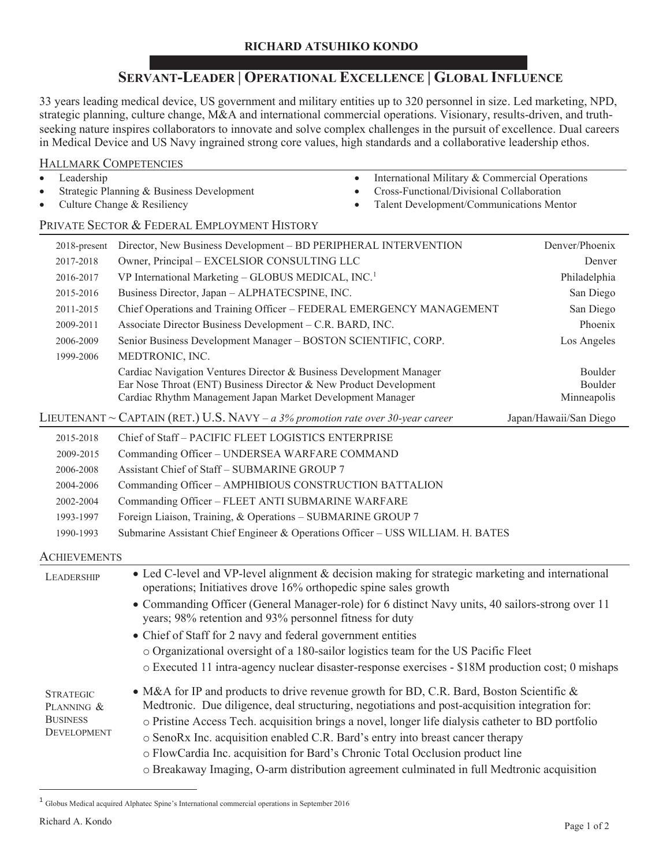#### **RICHARD ATSUHIKO KONDO**

## **SERVANT-LEADER | OPERATIONAL EXCELLENCE | GLOBAL INFLUENCE**

33 years leading medical device, US government and military entities up to 320 personnel in size. Led marketing, NPD, strategic planning, culture change, M&A and international commercial operations. Visionary, results-driven, and truthseeking nature inspires collaborators to innovate and solve complex challenges in the pursuit of excellence. Dual careers in Medical Device and US Navy ingrained strong core values, high standards and a collaborative leadership ethos.

#### HALLMARK COMPETENCIES

- $\bullet$  Leadership
- Strategic Planning & Business Development
- Culture Change & Resiliency
- $\bullet$  International Military & Commercial Operations
- Cross-Functional/Divisional Collaboration
- Talent Development/Communications Mentor

### PRIVATE SECTOR & FEDERAL EMPLOYMENT HISTORY

| $2018$ -present                                                         | Director, New Business Development - BD PERIPHERAL INTERVENTION                                                                                                                                                                                                                                                                                                                   | Denver/Phoenix                    |
|-------------------------------------------------------------------------|-----------------------------------------------------------------------------------------------------------------------------------------------------------------------------------------------------------------------------------------------------------------------------------------------------------------------------------------------------------------------------------|-----------------------------------|
| 2017-2018                                                               | Owner, Principal - EXCELSIOR CONSULTING LLC                                                                                                                                                                                                                                                                                                                                       | Denver                            |
| 2016-2017                                                               | VP International Marketing - GLOBUS MEDICAL, INC. <sup>1</sup>                                                                                                                                                                                                                                                                                                                    | Philadelphia                      |
| 2015-2016                                                               | Business Director, Japan - ALPHATECSPINE, INC.                                                                                                                                                                                                                                                                                                                                    | San Diego                         |
| 2011-2015                                                               | Chief Operations and Training Officer - FEDERAL EMERGENCY MANAGEMENT                                                                                                                                                                                                                                                                                                              | San Diego                         |
| 2009-2011                                                               | Associate Director Business Development - C.R. BARD, INC.                                                                                                                                                                                                                                                                                                                         | Phoenix                           |
| 2006-2009                                                               | Senior Business Development Manager - BOSTON SCIENTIFIC, CORP.                                                                                                                                                                                                                                                                                                                    | Los Angeles                       |
| 1999-2006                                                               | MEDTRONIC, INC.                                                                                                                                                                                                                                                                                                                                                                   |                                   |
|                                                                         | Cardiac Navigation Ventures Director & Business Development Manager<br>Ear Nose Throat (ENT) Business Director & New Product Development<br>Cardiac Rhythm Management Japan Market Development Manager                                                                                                                                                                            | Boulder<br>Boulder<br>Minneapolis |
|                                                                         | LIEUTENANT ~ CAPTAIN (RET.) U.S. NAVY – a 3% promotion rate over 30-year career                                                                                                                                                                                                                                                                                                   | Japan/Hawaii/San Diego            |
| 2015-2018                                                               | Chief of Staff - PACIFIC FLEET LOGISTICS ENTERPRISE                                                                                                                                                                                                                                                                                                                               |                                   |
| 2009-2015                                                               | Commanding Officer - UNDERSEA WARFARE COMMAND                                                                                                                                                                                                                                                                                                                                     |                                   |
| 2006-2008                                                               | Assistant Chief of Staff - SUBMARINE GROUP 7                                                                                                                                                                                                                                                                                                                                      |                                   |
| 2004-2006                                                               | Commanding Officer - AMPHIBIOUS CONSTRUCTION BATTALION                                                                                                                                                                                                                                                                                                                            |                                   |
| 2002-2004                                                               | Commanding Officer - FLEET ANTI SUBMARINE WARFARE                                                                                                                                                                                                                                                                                                                                 |                                   |
| 1993-1997                                                               | Foreign Liaison, Training, & Operations - SUBMARINE GROUP 7                                                                                                                                                                                                                                                                                                                       |                                   |
| 1990-1993                                                               | Submarine Assistant Chief Engineer & Operations Officer - USS WILLIAM. H. BATES                                                                                                                                                                                                                                                                                                   |                                   |
| <b>ACHIEVEMENTS</b>                                                     |                                                                                                                                                                                                                                                                                                                                                                                   |                                   |
| LEADERSHIP                                                              | • Led C-level and VP-level alignment & decision making for strategic marketing and international<br>operations; Initiatives drove 16% orthopedic spine sales growth                                                                                                                                                                                                               |                                   |
|                                                                         | • Commanding Officer (General Manager-role) for 6 distinct Navy units, 40 sailors-strong over 11<br>years; 98% retention and 93% personnel fitness for duty                                                                                                                                                                                                                       |                                   |
|                                                                         | • Chief of Staff for 2 navy and federal government entities                                                                                                                                                                                                                                                                                                                       |                                   |
|                                                                         | o Organizational oversight of a 180-sailor logistics team for the US Pacific Fleet                                                                                                                                                                                                                                                                                                |                                   |
|                                                                         | o Executed 11 intra-agency nuclear disaster-response exercises - \$18M production cost; 0 mishaps                                                                                                                                                                                                                                                                                 |                                   |
| <b>STRATEGIC</b><br>PLANNING &<br><b>BUSINESS</b><br><b>DEVELOPMENT</b> | • M&A for IP and products to drive revenue growth for BD, C.R. Bard, Boston Scientific &<br>Medtronic. Due diligence, deal structuring, negotiations and post-acquisition integration for:<br>o Pristine Access Tech. acquisition brings a novel, longer life dialysis catheter to BD portfolio<br>o SenoRx Inc. acquisition enabled C.R. Bard's entry into breast cancer therapy |                                   |
|                                                                         | o FlowCardia Inc. acquisition for Bard's Chronic Total Occlusion product line<br>o Breakaway Imaging, O-arm distribution agreement culminated in full Medtronic acquisition                                                                                                                                                                                                       |                                   |

<sup>1</sup> Globus Medical acquired Alphatec Spine's International commercial operations in September 2016